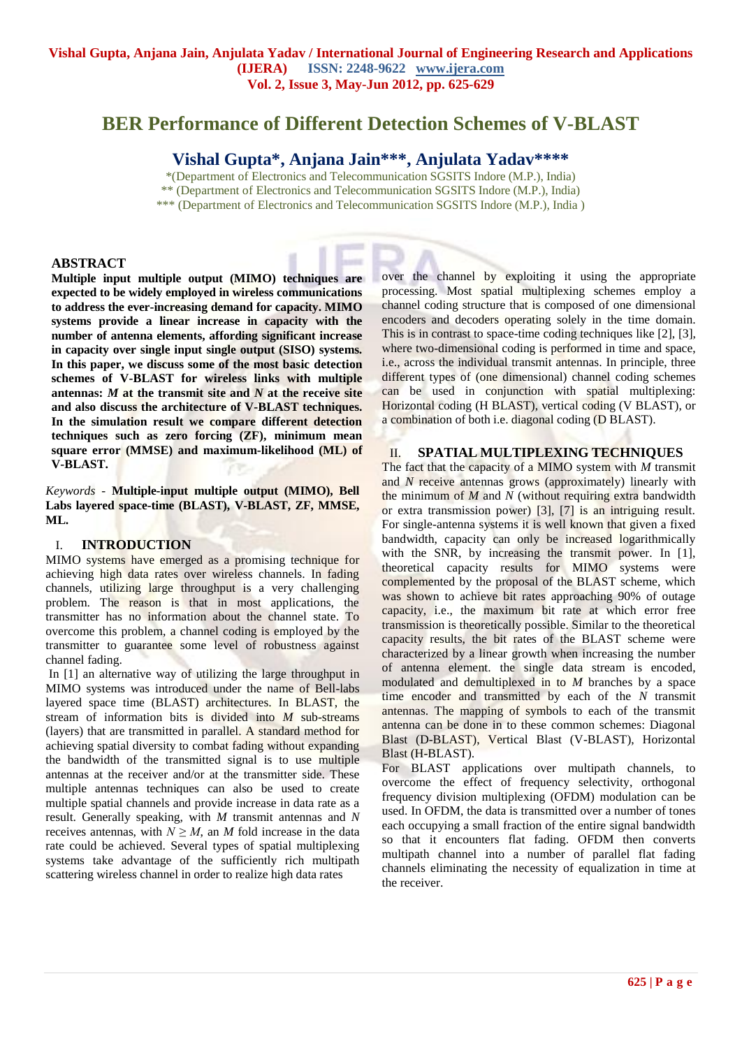# **BER Performance of Different Detection Schemes of V-BLAST**

**Vishal Gupta\*, Anjana Jain\*\*\*, Anjulata Yadav\*\*\*\***

\*(Department of Electronics and Telecommunication SGSITS Indore (M.P.), India)

\*\* (Department of Electronics and Telecommunication SGSITS Indore (M.P.), India)

\*\*\* (Department of Electronics and Telecommunication SGSITS Indore (M.P.), India )

# **ABSTRACT**

**Multiple input multiple output (MIMO) techniques are expected to be widely employed in wireless communications to address the ever-increasing demand for capacity. MIMO systems provide a linear increase in capacity with the number of antenna elements, affording significant increase in capacity over single input single output (SISO) systems. In this paper, we discuss some of the most basic detection schemes of V-BLAST for wireless links with multiple antennas:** *M* **at the transmit site and** *N* **at the receive site and also discuss the architecture of V-BLAST techniques. In the simulation result we compare different detection techniques such as zero forcing (ZF), minimum mean square error (MMSE) and maximum-likelihood (ML) of V-BLAST.**

*Keywords* - **Multiple-input multiple output (MIMO), Bell Labs layered space-time (BLAST), V-BLAST, ZF, MMSE, ML.**

#### I. **INTRODUCTION**

MIMO systems have emerged as a promising technique for achieving high data rates over wireless channels. In fading channels, utilizing large throughput is a very challenging problem. The reason is that in most applications, the transmitter has no information about the channel state. To overcome this problem, a channel coding is employed by the transmitter to guarantee some level of robustness against channel fading.

In [1] an alternative way of utilizing the large throughput in MIMO systems was introduced under the name of Bell-labs layered space time (BLAST) architectures. In BLAST, the stream of information bits is divided into *M* sub-streams (layers) that are transmitted in parallel. A standard method for achieving spatial diversity to combat fading without expanding the bandwidth of the transmitted signal is to use multiple antennas at the receiver and/or at the transmitter side. These multiple antennas techniques can also be used to create multiple spatial channels and provide increase in data rate as a result. Generally speaking, with *M* transmit antennas and *N* receives antennas, with  $N \geq M$ , an *M* fold increase in the data rate could be achieved. Several types of spatial multiplexing systems take advantage of the sufficiently rich multipath scattering wireless channel in order to realize high data rates

over the channel by exploiting it using the appropriate processing. Most spatial multiplexing schemes employ a channel coding structure that is composed of one dimensional encoders and decoders operating solely in the time domain. This is in contrast to space-time coding techniques like [2], [3], where two-dimensional coding is performed in time and space, i.e., across the individual transmit antennas. In principle, three different types of (one dimensional) channel coding schemes can be used in conjunction with spatial multiplexing: Horizontal coding (H BLAST), vertical coding (V BLAST), or a combination of both i.e. diagonal coding (D BLAST).

#### II. **SPATIAL MULTIPLEXING TECHNIQUES**

The fact that the capacity of a MIMO system with *M* transmit and *N* receive antennas grows (approximately) linearly with the minimum of *M* and *N* (without requiring extra bandwidth or extra transmission power) [3], [7] is an intriguing result. For single-antenna systems it is well known that given a fixed bandwidth, capacity can only be increased logarithmically with the SNR, by increasing the transmit power. In [1], theoretical capacity results for MIMO systems were complemented by the proposal of the BLAST scheme, which was shown to achieve bit rates approaching 90% of outage capacity, i.e., the maximum bit rate at which error free transmission is theoretically possible. Similar to the theoretical capacity results, the bit rates of the BLAST scheme were characterized by a linear growth when increasing the number of antenna element. the single data stream is encoded, modulated and demultiplexed in to *M* branches by a space time encoder and transmitted by each of the *N* transmit antennas. The mapping of symbols to each of the transmit antenna can be done in to these common schemes: Diagonal Blast (D-BLAST), Vertical Blast (V-BLAST), Horizontal Blast (H-BLAST).

For BLAST applications over multipath channels, to overcome the effect of frequency selectivity, orthogonal frequency division multiplexing (OFDM) modulation can be used. In OFDM, the data is transmitted over a number of tones each occupying a small fraction of the entire signal bandwidth so that it encounters flat fading. OFDM then converts multipath channel into a number of parallel flat fading channels eliminating the necessity of equalization in time at the receiver.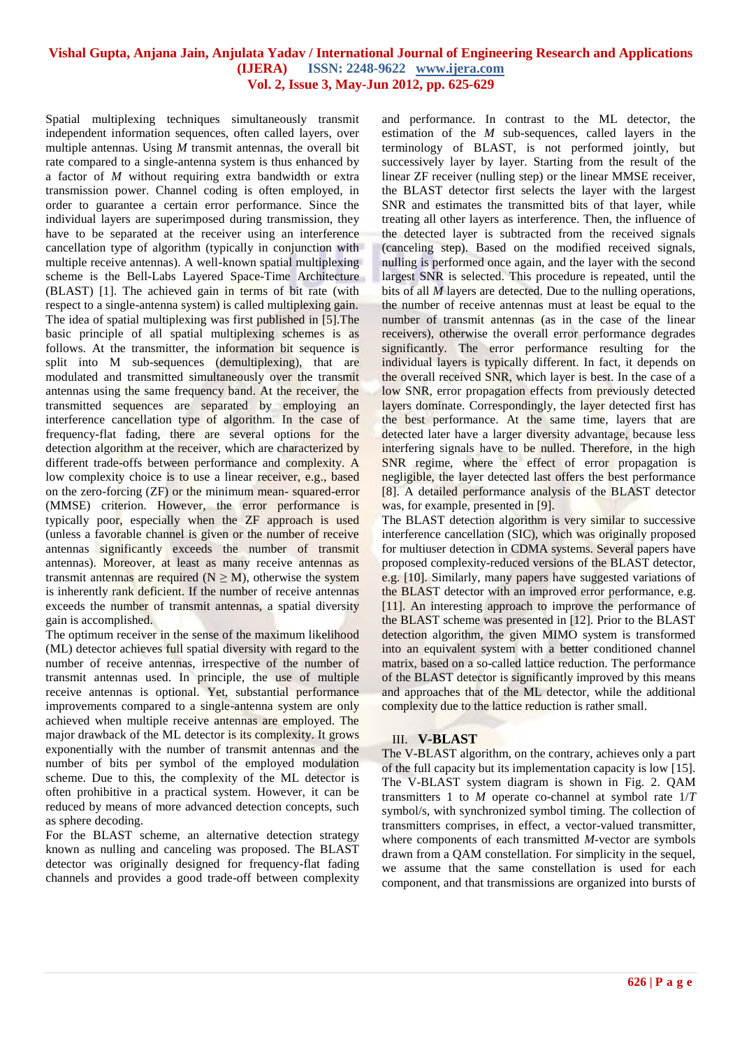Spatial multiplexing techniques simultaneously transmit independent information sequences, often called layers, over multiple antennas. Using *M* transmit antennas, the overall bit rate compared to a single-antenna system is thus enhanced by a factor of *M* without requiring extra bandwidth or extra transmission power. Channel coding is often employed, in order to guarantee a certain error performance. Since the individual layers are superimposed during transmission, they have to be separated at the receiver using an interference cancellation type of algorithm (typically in conjunction with multiple receive antennas). A well-known spatial multiplexing scheme is the Bell-Labs Layered Space-Time Architecture (BLAST) [1]. The achieved gain in terms of bit rate (with respect to a single-antenna system) is called multiplexing gain. The idea of spatial multiplexing was first published in [5].The basic principle of all spatial multiplexing schemes is as follows. At the transmitter, the information bit sequence is split into M sub-sequences (demultiplexing), that are modulated and transmitted simultaneously over the transmit antennas using the same frequency band. At the receiver, the transmitted sequences are separated by employing an interference cancellation type of algorithm. In the case of frequency-flat fading, there are several options for the detection algorithm at the receiver, which are characterized by different trade-offs between performance and complexity. A low complexity choice is to use a linear receiver, e.g., based on the zero-forcing (ZF) or the minimum mean- squared-error (MMSE) criterion. However, the error performance is typically poor, especially when the ZF approach is used (unless a favorable channel is given or the number of receive antennas significantly exceeds the number of transmit antennas). Moreover, at least as many receive antennas as transmit antennas are required ( $N \ge M$ ), otherwise the system is inherently rank deficient. If the number of receive antennas exceeds the number of transmit antennas, a spatial diversity gain is accomplished.

The optimum receiver in the sense of the maximum likelihood (ML) detector achieves full spatial diversity with regard to the number of receive antennas, irrespective of the number of transmit antennas used. In principle, the use of multiple receive antennas is optional. Yet, substantial performance improvements compared to a single-antenna system are only achieved when multiple receive antennas are employed. The major drawback of the ML detector is its complexity. It grows exponentially with the number of transmit antennas and the number of bits per symbol of the employed modulation scheme. Due to this, the complexity of the ML detector is often prohibitive in a practical system. However, it can be reduced by means of more advanced detection concepts, such as sphere decoding.

For the BLAST scheme, an alternative detection strategy known as nulling and canceling was proposed. The BLAST detector was originally designed for frequency-flat fading channels and provides a good trade-off between complexity

and performance. In contrast to the ML detector, the estimation of the *M* sub-sequences, called layers in the terminology of BLAST, is not performed jointly, but successively layer by layer. Starting from the result of the linear ZF receiver (nulling step) or the linear MMSE receiver, the BLAST detector first selects the layer with the largest SNR and estimates the transmitted bits of that layer, while treating all other layers as interference. Then, the influence of the detected layer is subtracted from the received signals (canceling step). Based on the modified received signals, nulling is performed once again, and the layer with the second largest SNR is selected. This procedure is repeated, until the bits of all *M* layers are detected. Due to the nulling operations, the number of receive antennas must at least be equal to the number of transmit antennas (as in the case of the linear receivers), otherwise the overall error performance degrades significantly. The error performance resulting for the individual layers is typically different. In fact, it depends on the overall received SNR, which layer is best. In the case of a low SNR, error propagation effects from previously detected layers dominate. Correspondingly, the layer detected first has the best performance. At the same time, layers that are detected later have a larger diversity advantage, because less interfering signals have to be nulled. Therefore, in the high SNR regime, where the effect of error propagation is negligible, the layer detected last offers the best performance [8]. A detailed performance analysis of the BLAST detector was, for example, presented in [9].

The BLAST detection algorithm is very similar to successive interference cancellation (SIC), which was originally proposed for multiuser detection in CDMA systems. Several papers have proposed complexity-reduced versions of the BLAST detector, e.g. [10]. Similarly, many papers have suggested variations of the BLAST detector with an improved error performance, e.g. [11]. An interesting approach to improve the performance of the BLAST scheme was presented in [12]. Prior to the BLAST detection algorithm, the given MIMO system is transformed into an equivalent system with a better conditioned channel matrix, based on a so-called lattice reduction. The performance of the BLAST detector is significantly improved by this means and approaches that of the ML detector, while the additional complexity due to the lattice reduction is rather small.

#### III. **V-BLAST**

The V-BLAST algorithm, on the contrary, achieves only a part of the full capacity but its implementation capacity is low [15]. The V-BLAST system diagram is shown in Fig. 2. QAM transmitters 1 to *M* operate co-channel at symbol rate 1/*T* symbol/s, with synchronized symbol timing. The collection of transmitters comprises, in effect, a vector-valued transmitter, where components of each transmitted *M*-vector are symbols drawn from a QAM constellation. For simplicity in the sequel, we assume that the same constellation is used for each component, and that transmissions are organized into bursts of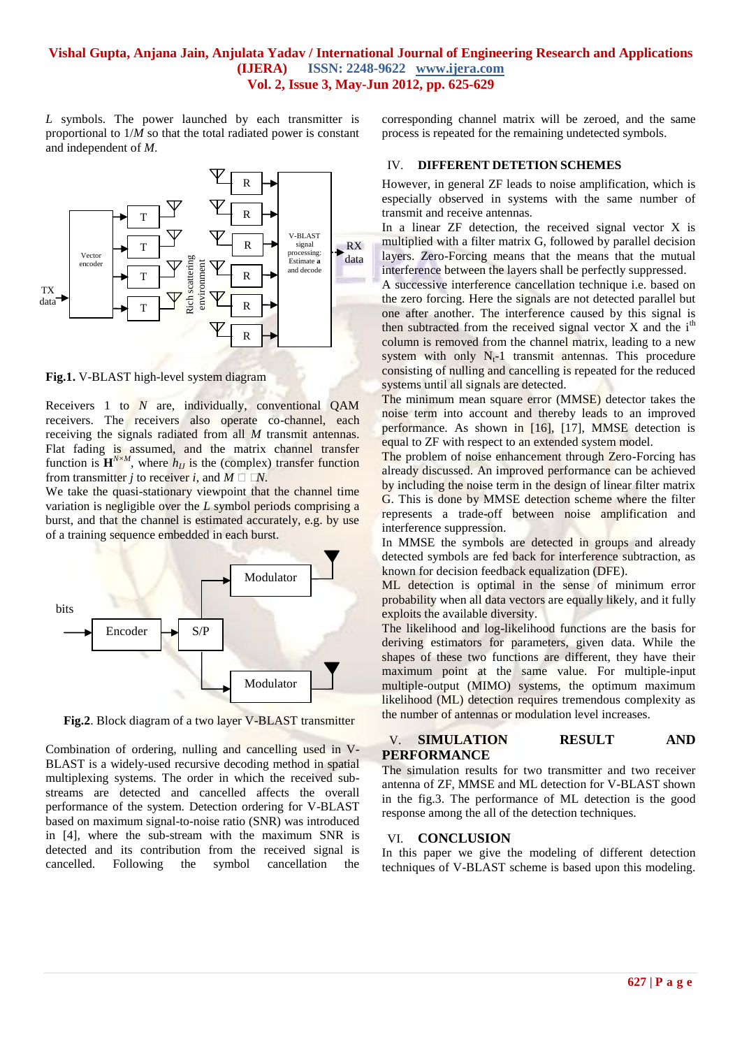*L* symbols. The power launched by each transmitter is proportional to 1/*M* so that the total radiated power is constant and independent of *M*.



**Fig.1.** V-BLAST high-level system diagram

Receivers 1 to *N* are, individually, conventional QAM receivers. The receivers also operate co-channel, each receiving the signals radiated from all *M* transmit antennas. Flat fading is assumed, and the matrix channel transfer function is  $\mathbf{H}^{N \times M}$ , where  $h_{IJ}$  is the (complex) transfer function from transmitter *j* to receiver *i*, and  $M \square \square N$ .

We take the quasi-stationary viewpoint that the channel time variation is negligible over the *L* symbol periods comprising a burst, and that the channel is estimated accurately, e.g. by use of a training sequence embedded in each burst.



**Fig.2**. Block diagram of a two layer V-BLAST transmitter

Combination of ordering, nulling and cancelling used in V-BLAST is a widely-used recursive decoding method in spatial multiplexing systems. The order in which the received substreams are detected and cancelled affects the overall performance of the system. Detection ordering for V-BLAST based on maximum signal-to-noise ratio (SNR) was introduced in [4], where the sub-stream with the maximum SNR is detected and its contribution from the received signal is cancelled. Following the symbol cancellation the

corresponding channel matrix will be zeroed, and the same process is repeated for the remaining undetected symbols.

# IV. **DIFFERENT DETETION SCHEMES**

However, in general ZF leads to noise amplification, which is especially observed in systems with the same number of transmit and receive antennas.

In a linear  $ZF$  detection, the received signal vector  $X$  is multiplied with a filter matrix G, followed by parallel decision layers. Zero-Forcing means that the means that the mutual interference between the layers shall be perfectly suppressed.

A successive interference cancellation technique i.e. based on the zero forcing. Here the signals are not detected parallel but one after another. The interference caused by this signal is then subtracted from the received signal vector  $X$  and the i<sup>th</sup> column is removed from the channel matrix, leading to a new system with only  $N_t$ -1 transmit antennas. This procedure consisting of nulling and cancelling is repeated for the reduced systems until all signals are detected.

The minimum mean square error (MMSE) detector takes the noise term into account and thereby leads to an improved performance. As shown in [16], [17], MMSE detection is equal to ZF with respect to an extended system model.

The problem of noise enhancement through Zero-Forcing has already discussed. An improved performance can be achieved by including the noise term in the design of linear filter matrix G. This is done by MMSE detection scheme where the filter represents a trade-off between noise amplification and interference suppression.

In MMSE the symbols are detected in groups and already detected symbols are fed back for interference subtraction, as known for decision feedback equalization (DFE).

ML detection is optimal in the sense of minimum error probability when all data vectors are equally likely, and it fully exploits the available diversity.

The likelihood and log-likelihood functions are the basis for deriving estimators for parameters, given data. While the shapes of these two functions are different, they have their maximum point at the same value. For multiple-input multiple-output (MIMO) systems, the optimum maximum likelihood (ML) detection requires tremendous complexity as the number of antennas or modulation level increases.

#### V. **SIMULATION RESULT AND PERFORMANCE**

The simulation results for two transmitter and two receiver antenna of ZF, MMSE and ML detection for V-BLAST shown in the fig.3. The performance of ML detection is the good response among the all of the detection techniques.

# VI. **CONCLUSION**

In this paper we give the modeling of different detection techniques of V-BLAST scheme is based upon this modeling.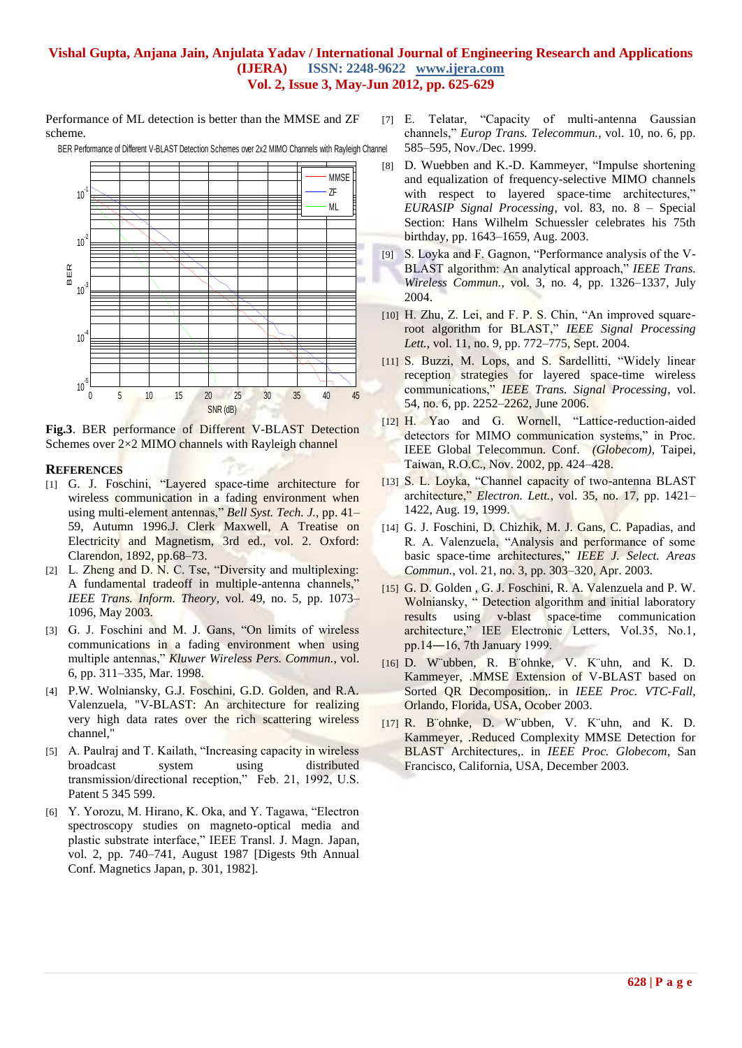Performance of ML detection is better than the MMSE and ZF scheme.

BER Performance of Different V-BLAST Detection Schemes over 2x2 MIMO Channels with Rayleigh Channel



**Fig.3**. BER performance of Different V-BLAST Detection Schemes over 2×2 MIMO channels with Rayleigh channel

#### **REFERENCES**

- [1] G. J. Foschini, "Layered space-time architecture for wireless communication in a fading environment when using multi-element antennas," *Bell Syst. Tech. J.*, pp. 41– 59, Autumn 1996.J. Clerk Maxwell, A Treatise on Electricity and Magnetism, 3rd ed., vol. 2. Oxford: Clarendon, 1892, pp.68–73.
- [2] L. Zheng and D. N. C. Tse, "Diversity and multiplexing: A fundamental tradeoff in multiple-antenna channels," *IEEE Trans. Inform. Theory*, vol. 49, no. 5, pp. 1073– 1096, May 2003.
- [3] G. J. Foschini and M. J. Gans, "On limits of wireless communications in a fading environment when using multiple antennas," *Kluwer Wireless Pers. Commun.*, vol. 6, pp. 311–335, Mar. 1998.
- [4] P.W. Wolniansky, G.J. Foschini, G.D. Golden, and R.A. Valenzuela, "V-BLAST: An architecture for realizing very high data rates over the rich scattering wireless channel,"
- [5] A. Paulraj and T. Kailath, "Increasing capacity in wireless broadcast system using distributed transmission/directional reception," Feb. 21, 1992, U.S. Patent 5 345 599.
- [6] Y. Yorozu, M. Hirano, K. Oka, and Y. Tagawa, "Electron spectroscopy studies on magneto-optical media and plastic substrate interface," IEEE Transl. J. Magn. Japan, vol. 2, pp. 740–741, August 1987 [Digests 9th Annual Conf. Magnetics Japan, p. 301, 1982].
- [7] E. Telatar, "Capacity of multi-antenna Gaussian channels," *Europ Trans. Telecommun.*, vol. 10, no. 6, pp. 585–595, Nov./Dec. 1999.
- [8] D. Wuebben and K.-D. Kammeyer, "Impulse shortening and equalization of frequency-selective MIMO channels with respect to layered space-time architectures," *EURASIP Signal Processing*, vol. 83, no. 8 – Special Section: Hans Wilhelm Schuessler celebrates his 75th birthday, pp. 1643–1659, Aug. 2003.
- S. Loyka and F. Gagnon, "Performance analysis of the V-BLAST algorithm: An analytical approach," *IEEE Trans. Wireless Commun.*, vol. 3, no. 4, pp. 1326–1337, July 2004.
- [10] H. Zhu, Z. Lei, and F. P. S. Chin, "An improved squareroot algorithm for BLAST," *IEEE Signal Processing Lett.*, vol. 11, no. 9, pp. 772–775, Sept. 2004.
- [11] S. Buzzi, M. Lops, and S. Sardellitti, "Widely linear reception strategies for layered space-time wireless communications," *IEEE Trans. Signal Processing*, vol. 54, no. 6, pp. 2252–2262, June 2006.
- [12] H. Yao and G. Wornell, "Lattice-reduction-aided detectors for MIMO communication systems," in Proc. IEEE Global Telecommun. Conf. *(Globecom)*, Taipei, Taiwan, R.O.C., Nov. 2002, pp. 424–428.
- [13] S. L. Loyka, "Channel capacity of two-antenna BLAST architecture," *Electron. Lett.*, vol. 35, no. 17, pp. 1421– 1422, Aug. 19, 1999.
- [14] G. J. Foschini, D. Chizhik, M. J. Gans, C. Papadias, and R. A. Valenzuela, "Analysis and performance of some basic space-time architectures," *IEEE J. Select. Areas Commun.*, vol. 21, no. 3, pp. 303–320, Apr. 2003.
- [15] G. D. Golden, G. J. Foschini, R. A. Valenzuela and P. W. Wolniansky, " Detection algorithm and initial laboratory results using v-blast space-time communication architecture," IEE Electronic Letters, Vol.35, No.1, pp.14―16, 7th January 1999.
- [16] D. W¨ubben, R. B¨ohnke, V. K¨uhn, and K. D. Kammeyer, .MMSE Extension of V-BLAST based on Sorted QR Decomposition,. in *IEEE Proc. VTC-Fall*, Orlando, Florida, USA, Ocober 2003.
- [17] R. B¨ohnke, D. W¨ubben, V. K¨uhn, and K. D. Kammeyer, .Reduced Complexity MMSE Detection for BLAST Architectures,. in *IEEE Proc. Globecom*, San Francisco, California, USA, December 2003.